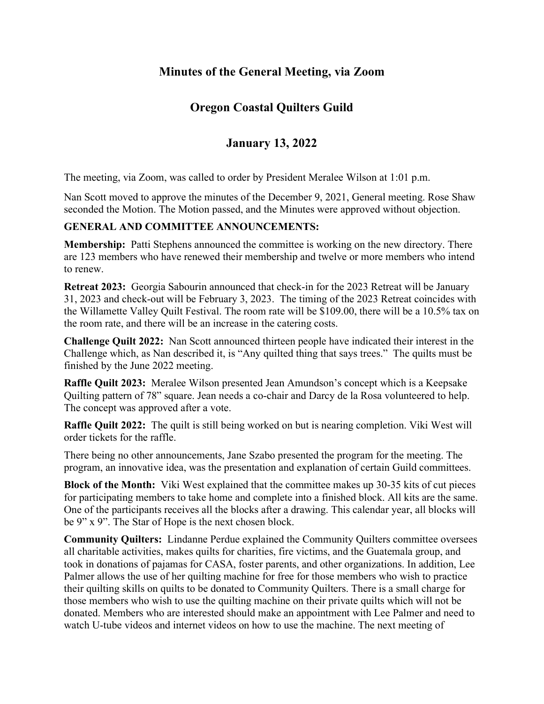# **Minutes of the General Meeting, via Zoom**

### **Oregon Coastal Quilters Guild**

# **January 13, 2022**

The meeting, via Zoom, was called to order by President Meralee Wilson at 1:01 p.m.

Nan Scott moved to approve the minutes of the December 9, 2021, General meeting. Rose Shaw seconded the Motion. The Motion passed, and the Minutes were approved without objection.

#### **GENERAL AND COMMITTEE ANNOUNCEMENTS:**

**Membership:** Patti Stephens announced the committee is working on the new directory. There are 123 members who have renewed their membership and twelve or more members who intend to renew.

**Retreat 2023:** Georgia Sabourin announced that check-in for the 2023 Retreat will be January 31, 2023 and check-out will be February 3, 2023. The timing of the 2023 Retreat coincides with the Willamette Valley Quilt Festival. The room rate will be \$109.00, there will be a 10.5% tax on the room rate, and there will be an increase in the catering costs.

**Challenge Quilt 2022:** Nan Scott announced thirteen people have indicated their interest in the Challenge which, as Nan described it, is "Any quilted thing that says trees." The quilts must be finished by the June 2022 meeting.

**Raffle Quilt 2023:** Meralee Wilson presented Jean Amundson's concept which is a Keepsake Quilting pattern of 78" square. Jean needs a co-chair and Darcy de la Rosa volunteered to help. The concept was approved after a vote.

**Raffle Quilt 2022:** The quilt is still being worked on but is nearing completion. Viki West will order tickets for the raffle.

There being no other announcements, Jane Szabo presented the program for the meeting. The program, an innovative idea, was the presentation and explanation of certain Guild committees.

**Block of the Month:** Viki West explained that the committee makes up 30-35 kits of cut pieces for participating members to take home and complete into a finished block. All kits are the same. One of the participants receives all the blocks after a drawing. This calendar year, all blocks will be 9" x 9". The Star of Hope is the next chosen block.

**Community Quilters:** Lindanne Perdue explained the Community Quilters committee oversees all charitable activities, makes quilts for charities, fire victims, and the Guatemala group, and took in donations of pajamas for CASA, foster parents, and other organizations. In addition, Lee Palmer allows the use of her quilting machine for free for those members who wish to practice their quilting skills on quilts to be donated to Community Quilters. There is a small charge for those members who wish to use the quilting machine on their private quilts which will not be donated. Members who are interested should make an appointment with Lee Palmer and need to watch U-tube videos and internet videos on how to use the machine. The next meeting of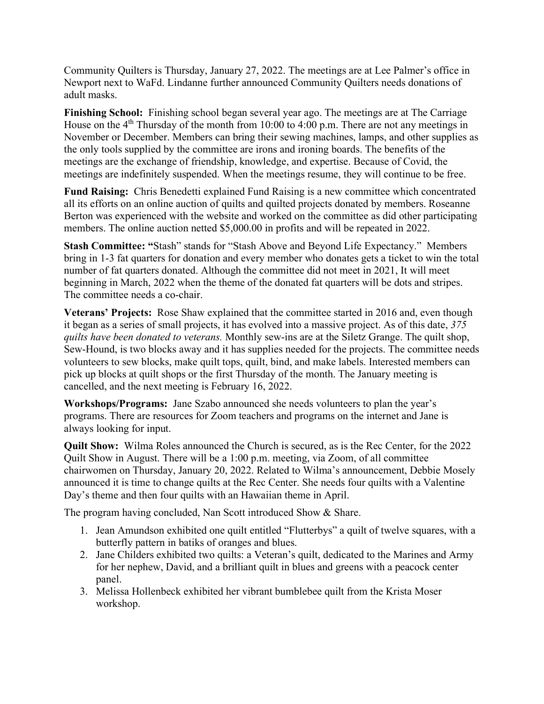Community Quilters is Thursday, January 27, 2022. The meetings are at Lee Palmer's office in Newport next to WaFd. Lindanne further announced Community Quilters needs donations of adult masks.

**Finishing School:** Finishing school began several year ago. The meetings are at The Carriage House on the  $4<sup>th</sup>$  Thursday of the month from 10:00 to 4:00 p.m. There are not any meetings in November or December. Members can bring their sewing machines, lamps, and other supplies as the only tools supplied by the committee are irons and ironing boards. The benefits of the meetings are the exchange of friendship, knowledge, and expertise. Because of Covid, the meetings are indefinitely suspended. When the meetings resume, they will continue to be free.

**Fund Raising:** Chris Benedetti explained Fund Raising is a new committee which concentrated all its efforts on an online auction of quilts and quilted projects donated by members. Roseanne Berton was experienced with the website and worked on the committee as did other participating members. The online auction netted \$5,000.00 in profits and will be repeated in 2022.

**Stash Committee: "**Stash" stands for "Stash Above and Beyond Life Expectancy." Members bring in 1-3 fat quarters for donation and every member who donates gets a ticket to win the total number of fat quarters donated. Although the committee did not meet in 2021, It will meet beginning in March, 2022 when the theme of the donated fat quarters will be dots and stripes. The committee needs a co-chair.

**Veterans' Projects:** Rose Shaw explained that the committee started in 2016 and, even though it began as a series of small projects, it has evolved into a massive project. As of this date, *375 quilts have been donated to veterans.* Monthly sew-ins are at the Siletz Grange. The quilt shop, Sew-Hound, is two blocks away and it has supplies needed for the projects. The committee needs volunteers to sew blocks, make quilt tops, quilt, bind, and make labels. Interested members can pick up blocks at quilt shops or the first Thursday of the month. The January meeting is cancelled, and the next meeting is February 16, 2022.

**Workshops/Programs:** Jane Szabo announced she needs volunteers to plan the year's programs. There are resources for Zoom teachers and programs on the internet and Jane is always looking for input.

**Quilt Show:** Wilma Roles announced the Church is secured, as is the Rec Center, for the 2022 Quilt Show in August. There will be a 1:00 p.m. meeting, via Zoom, of all committee chairwomen on Thursday, January 20, 2022. Related to Wilma's announcement, Debbie Mosely announced it is time to change quilts at the Rec Center. She needs four quilts with a Valentine Day's theme and then four quilts with an Hawaiian theme in April.

The program having concluded, Nan Scott introduced Show & Share.

- 1. Jean Amundson exhibited one quilt entitled "Flutterbys" a quilt of twelve squares, with a butterfly pattern in batiks of oranges and blues.
- 2. Jane Childers exhibited two quilts: a Veteran's quilt, dedicated to the Marines and Army for her nephew, David, and a brilliant quilt in blues and greens with a peacock center panel.
- 3. Melissa Hollenbeck exhibited her vibrant bumblebee quilt from the Krista Moser workshop.